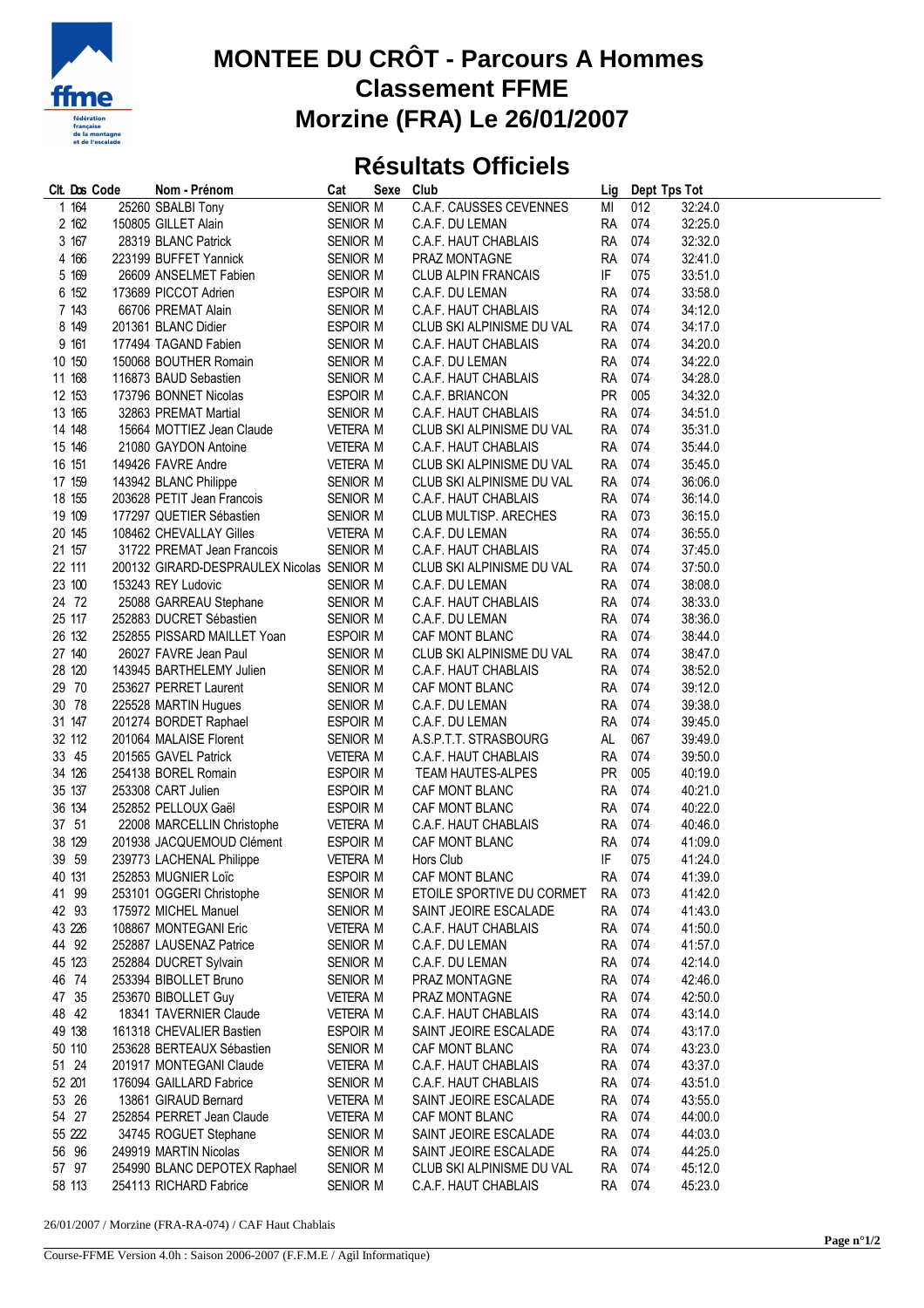

## **MONTEE DU CRÔT - Parcours A Hommes Classement FFME Morzine (FRA) Le 26/01/2007**

## **Résultats Officiels**

| Clt. Dos Code | Nom - Prénom                              | Cat             | Sexe Club |                                  |           | Lig Dept Tps Tot |         |
|---------------|-------------------------------------------|-----------------|-----------|----------------------------------|-----------|------------------|---------|
| 1 164         | 25260 SBALBI Tony                         | SENIOR M        |           | <b>C.A.F. CAUSSES CEVENNES</b>   | MI        | 012              | 32:24.0 |
| 2 162         | 150805 GILLET Alain                       | SENIOR M        |           | C.A.F. DU LEMAN                  | <b>RA</b> | 074              | 32:25.0 |
| 3 167         | 28319 BLANC Patrick                       | SENIOR M        |           | C.A.F. HAUT CHABLAIS             | <b>RA</b> | 074              | 32:32.0 |
| 4 16 6        | 223199 BUFFET Yannick                     | SENIOR M        |           | PRAZ MONTAGNE                    | <b>RA</b> | 074              | 32:41.0 |
| 5 169         | 26609 ANSELMET Fabien                     | SENIOR M        |           | <b>CLUB ALPIN FRANCAIS</b>       | IF        | 075              | 33:51.0 |
| 6 152         | 173689 PICCOT Adrien                      | ESPOIR M        |           | C.A.F. DU LEMAN                  | RA        | 074              | 33:58.0 |
| 7 143         | 66706 PREMAT Alain                        | SENIOR M        |           | C.A.F. HAUT CHABLAIS             | <b>RA</b> | 074              | 34:12.0 |
| 8 149         | 201361 BLANC Didier                       | ESPOIR M        |           | CLUB SKI ALPINISME DU VAL        | <b>RA</b> | 074              | 34:17.0 |
| 9 161         | 177494 TAGAND Fabien                      | SENIOR M        |           | C.A.F. HAUT CHABLAIS             | RA        | 074              | 34:20.0 |
| 10 150        | 150068 BOUTHER Romain                     | SENIOR M        |           | C.A.F. DU LEMAN                  | <b>RA</b> | 074              | 34:22.0 |
| 11 168        | 116873 BAUD Sebastien                     | SENIOR M        |           | C.A.F. HAUT CHABLAIS             | <b>RA</b> | 074              | 34:28.0 |
| 12 153        | 173796 BONNET Nicolas                     | ESPOIR M        |           | C.A.F. BRIANCON                  | <b>PR</b> | 005              | 34:32.0 |
| 13 165        | 32863 PREMAT Martial                      | SENIOR M        |           | C.A.F. HAUT CHABLAIS             | <b>RA</b> | 074              | 34:51.0 |
| 14 148        | 15664 MOTTIEZ Jean Claude                 | VETERA M        |           | CLUB SKI ALPINISME DU VAL        | <b>RA</b> | 074              | 35:31.0 |
| 15 146        | 21080 GAYDON Antoine                      | VETERA M        |           | C.A.F. HAUT CHABLAIS             | <b>RA</b> | 074              | 35:44.0 |
| 16 151        | 149426 FAVRE Andre                        | VETERA M        |           | CLUB SKI ALPINISME DU VAL        | RA        | 074              | 35:45.0 |
| 17 159        | 143942 BLANC Philippe                     | SENIOR M        |           | CLUB SKI ALPINISME DU VAL        | <b>RA</b> | 074              | 36:06.0 |
| 18 155        | 203628 PETIT Jean Francois                |                 |           | C.A.F. HAUT CHABLAIS             | <b>RA</b> | 074              |         |
|               | 177297 QUETIER Sébastien                  | SENIOR M        |           |                                  |           |                  | 36:14.0 |
| 19 109        |                                           | SENIOR M        |           | CLUB MULTISP. ARECHES            | <b>RA</b> | 073              | 36:15.0 |
| 20 145        | 108462 CHEVALLAY Gilles                   | <b>VETERA M</b> |           | C.A.F. DU LEMAN                  | <b>RA</b> | 074              | 36:55.0 |
| 21 157        | 31722 PREMAT Jean Francois                | SENIOR M        |           | C.A.F. HAUT CHABLAIS             | <b>RA</b> | 074              | 37:45.0 |
| 22 111        | 200132 GIRARD-DESPRAULEX Nicolas SENIOR M |                 |           | CLUB SKI ALPINISME DU VAL        | <b>RA</b> | 074              | 37:50.0 |
| 23 100        | 153243 REY Ludovic                        | SENIOR M        |           | C.A.F. DU LEMAN                  | <b>RA</b> | 074              | 38:08.0 |
| 24 72         | 25088 GARREAU Stephane                    | SENIOR M        |           | C.A.F. HAUT CHABLAIS             | <b>RA</b> | 074              | 38:33.0 |
| 25 117        | 252883 DUCRET Sébastien                   | SENIOR M        |           | C.A.F. DU LEMAN                  | <b>RA</b> | 074              | 38:36.0 |
| 26 132        | 252855 PISSARD MAILLET Yoan               | ESPOIR M        |           | CAF MONT BLANC                   | <b>RA</b> | 074              | 38:44.0 |
| 27 140        | 26027 FAVRE Jean Paul                     | SENIOR M        |           | CLUB SKI ALPINISME DU VAL        | <b>RA</b> | 074              | 38:47.0 |
| 28 120        | 143945 BARTHELEMY Julien                  | SENIOR M        |           | C.A.F. HAUT CHABLAIS             | <b>RA</b> | 074              | 38:52.0 |
| 29 70         | 253627 PERRET Laurent                     | SENIOR M        |           | CAF MONT BLANC                   | RA        | 074              | 39:12.0 |
| 30 78         | 225528 MARTIN Hugues                      | SENIOR M        |           | C.A.F. DU LEMAN                  | RA        | 074              | 39:38.0 |
| 31 147        | 201274 BORDET Raphael                     | ESPOIR M        |           | C.A.F. DU LEMAN                  | RA        | 074              | 39:45.0 |
| 32 112        | 201064 MALAISE Florent                    | SENIOR M        |           | A.S.P.T.T. STRASBOURG            | AL        | 067              | 39:49.0 |
| 33 45         | 201565 GAVEL Patrick                      | VETERA M        |           | C.A.F. HAUT CHABLAIS             | <b>RA</b> | 074              | 39:50.0 |
| 34 126        | 254138 BOREL Romain                       | ESPOIR M        |           | TEAM HAUTES-ALPES                | <b>PR</b> | 005              | 40:19.0 |
| 35 137        | 253308 CART Julien                        | ESPOIR M        |           | CAF MONT BLANC                   | RA        | 074              | 40:21.0 |
| 36 134        | 252852 PELLOUX Gaël                       | ESPOIR M        |           | CAF MONT BLANC                   | RA        | 074              | 40:22.0 |
| 37 51         | 22008 MARCELLIN Christophe                | <b>VETERA M</b> |           | C.A.F. HAUT CHABLAIS             | RA        | 074              | 40:46.0 |
| 38 129        | 201938 JACQUEMOUD Clément                 | ESPOIR M        |           | CAF MONT BLANC                   | RA        | 074              | 41:09.0 |
| 39 59         | 239773 LACHENAL Philippe                  | <b>VETERA M</b> |           | Hors Club                        | IF        | 075              | 41:24.0 |
| 40 131        | 252853 MUGNIER Loïc                       | ESPOIR M        |           | CAF MONT BLANC                   | RA 074    |                  | 41:39.0 |
| 41 99         | 253101 OGGERI Christophe                  | SENIOR M        |           | ETOILE SPORTIVE DU CORMET RA 073 |           |                  | 41:42.0 |
| 42 93         | 175972 MICHEL Manuel                      | SENIOR M        |           | SAINT JEOIRE ESCALADE            | RA 074    |                  | 41:43.0 |
| 43 226        | 108867 MONTEGANI Eric                     | VETERA M        |           | C.A.F. HAUT CHABLAIS             | RA 074    |                  | 41:50.0 |
| 44 92         | 252887 LAUSENAZ Patrice                   | SENIOR M        |           | C.A.F. DU LEMAN                  | RA 074    |                  | 41:57.0 |
| 45 123        | 252884 DUCRET Sylvain                     | SENIOR M        |           | C.A.F. DU LEMAN                  | RA        | 074              | 42:14.0 |
| 46 74         | 253394 BIBOLLET Bruno                     | SENIOR M        |           | PRAZ MONTAGNE                    | RA        | 074              | 42:46.0 |
| 47 35         | 253670 BIBOLLET Guy                       | VETERA M        |           | PRAZ MONTAGNE                    | RA        | 074              | 42:50.0 |
| 48 42         | 18341 TAVERNIER Claude                    | VETERA M        |           | C.A.F. HAUT CHABLAIS             | RA 074    |                  | 43:14.0 |
| 49 138        | 161318 CHEVALIER Bastien                  | ESPOIR M        |           | SAINT JEOIRE ESCALADE            | RA        | 074              | 43:17.0 |
| 50 110        | 253628 BERTEAUX Sébastien                 | SENIOR M        |           | CAF MONT BLANC                   | RA        | 074              | 43:23.0 |
| 51 24         | 201917 MONTEGANI Claude                   | <b>VETERA M</b> |           | C.A.F. HAUT CHABLAIS             | RA        | 074              | 43:37.0 |
| 52 201        | 176094 GAILLARD Fabrice                   | SENIOR M        |           | C.A.F. HAUT CHABLAIS             | RA        | 074              | 43:51.0 |
|               |                                           |                 |           |                                  | RA        | 074              |         |
| 53 26         | 13861 GIRAUD Bernard                      | <b>VETERA M</b> |           | SAINT JEOIRE ESCALADE            |           |                  | 43:55.0 |
| 54 27         | 252854 PERRET Jean Claude                 | VETERA M        |           | CAF MONT BLANC                   | RA        | 074              | 44:00.0 |
| 55 222        | 34745 ROGUET Stephane                     | SENIOR M        |           | SAINT JEOIRE ESCALADE            | <b>RA</b> | 074              | 44:03.0 |
| 56 96         | 249919 MARTIN Nicolas                     | SENIOR M        |           | SAINT JEOIRE ESCALADE            | <b>RA</b> | 074              | 44:25.0 |
| 57 97         | 254990 BLANC DEPOTEX Raphael              | SENIOR M        |           | CLUB SKI ALPINISME DU VAL        | RA 074    |                  | 45:12.0 |
| 58 113        | 254113 RICHARD Fabrice                    | SENIOR M        |           | C.A.F. HAUT CHABLAIS             | RA 074    |                  | 45:23.0 |

26/01/2007 / Morzine (FRA-RA-074) / CAF Haut Chablais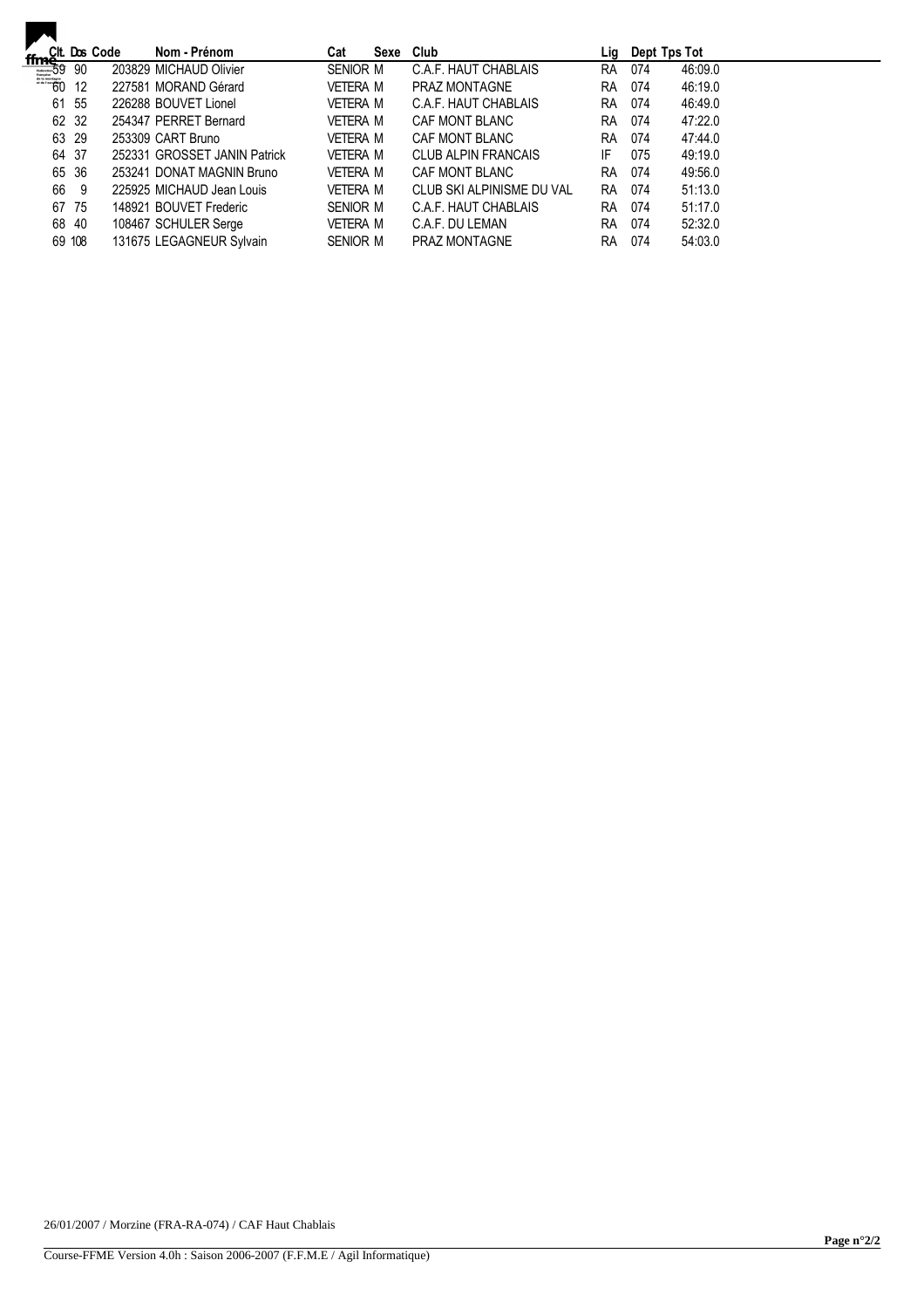|                                                              |        | Cit. Dos Code | Nom - Prénom                 | Cat      | Sexe | Club                      | Lig       | Dept Tps Tot |         |
|--------------------------------------------------------------|--------|---------------|------------------------------|----------|------|---------------------------|-----------|--------------|---------|
| $\frac{ffm_{0}^{Clt} \text{. Do.}}{f}$<br>$\frac{59}{60}$ 12 |        |               | 203829 MICHAUD Olivier       | SENIOR M |      | C.A.F. HAUT CHABLAIS      | RA        | 074          | 46:09.0 |
|                                                              |        |               | 227581 MORAND Gérard         | VETERA M |      | <b>PRAZ MONTAGNE</b>      | <b>RA</b> | 074          | 46:19.0 |
|                                                              | 61 55  |               | 226288 BOUVET Lionel         | VETERA M |      | C.A.F. HAUT CHABLAIS      | <b>RA</b> | 074          | 46:49.0 |
|                                                              | 62 32  |               | 254347 PERRET Bernard        | VETERA M |      | CAF MONT BLANC            | <b>RA</b> | 074          | 47:22.0 |
|                                                              | 63 29  |               | 253309 CART Bruno            | VETERA M |      | CAF MONT BLANC            | <b>RA</b> | 074          | 47:44.0 |
|                                                              | 64 37  |               | 252331 GROSSET JANIN Patrick | VETERA M |      | CLUB ALPIN FRANCAIS       | IF.       | 075          | 49:19.0 |
|                                                              | 65 36  |               | 253241 DONAT MAGNIN Bruno    | VETERA M |      | CAF MONT BLANC            | <b>RA</b> | 074          | 49:56.0 |
| 66                                                           | - 9    |               | 225925 MICHAUD Jean Louis    | VETERA M |      | CLUB SKI ALPINISME DU VAL | <b>RA</b> | 074          | 51:13.0 |
|                                                              | 67 75  |               | 148921 BOUVET Frederic       | SENIOR M |      | C.A.F. HAUT CHABLAIS      | <b>RA</b> | 074          | 51:17.0 |
|                                                              | 68 40  |               | 108467 SCHULER Serge         | VETERA M |      | C.A.F. DU LEMAN           | <b>RA</b> | 074          | 52:32.0 |
|                                                              | 69 108 |               | 131675 LEGAGNEUR Sylvain     | SENIOR M |      | <b>PRAZ MONTAGNE</b>      | <b>RA</b> | 074          | 54:03.0 |